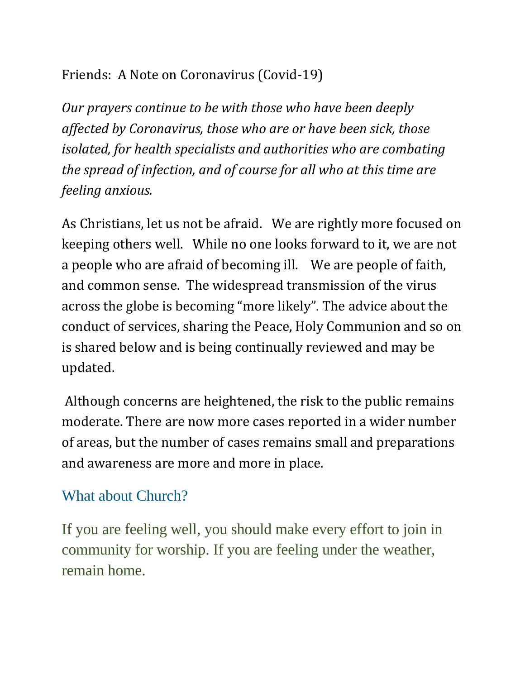## Friends: A Note on Coronavirus (Covid-19)

*Our prayers continue to be with those who have been deeply affected by Coronavirus, those who are or have been sick, those isolated, for health specialists and authorities who are combating the spread of infection, and of course for all who at this time are feeling anxious.*

As Christians, let us not be afraid. We are rightly more focused on keeping others well. While no one looks forward to it, we are not a people who are afraid of becoming ill. We are people of faith, and common sense. The widespread transmission of the virus across the globe is becoming "more likely". The advice about the conduct of services, sharing the Peace, Holy Communion and so on is shared below and is being continually reviewed and may be updated.

Although concerns are heightened, the risk to the public remains moderate. There are now more cases reported in a wider number of areas, but the number of cases remains small and preparations and awareness are more and more in place.

## What about Church?

If you are feeling well, you should make every effort to join in community for worship. If you are feeling under the weather, remain home.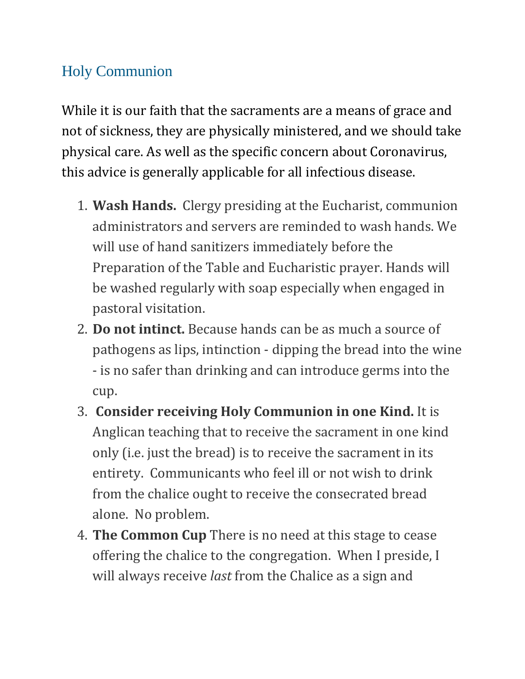## Holy Communion

While it is our faith that the sacraments are a means of grace and not of sickness, they are physically ministered, and we should take physical care. As well as the specific concern about Coronavirus, this advice is generally applicable for all infectious disease.

- 1. **Wash Hands.** Clergy presiding at the Eucharist, communion administrators and servers are reminded to wash hands. We will use of hand sanitizers immediately before the Preparation of the Table and Eucharistic prayer. Hands will be washed regularly with soap especially when engaged in pastoral visitation.
- 2. **Do not intinct.** Because hands can be as much a source of pathogens as lips, intinction - dipping the bread into the wine - is no safer than drinking and can introduce germs into the cup.
- 3. **Consider receiving Holy Communion in one Kind.** It is Anglican teaching that to receive the sacrament in one kind only (i.e. just the bread) is to receive the sacrament in its entirety. Communicants who feel ill or not wish to drink from the chalice ought to receive the consecrated bread alone. No problem.
- 4. **The Common Cup** There is no need at this stage to cease offering the chalice to the congregation. When I preside, I will always receive *last* from the Chalice as a sign and